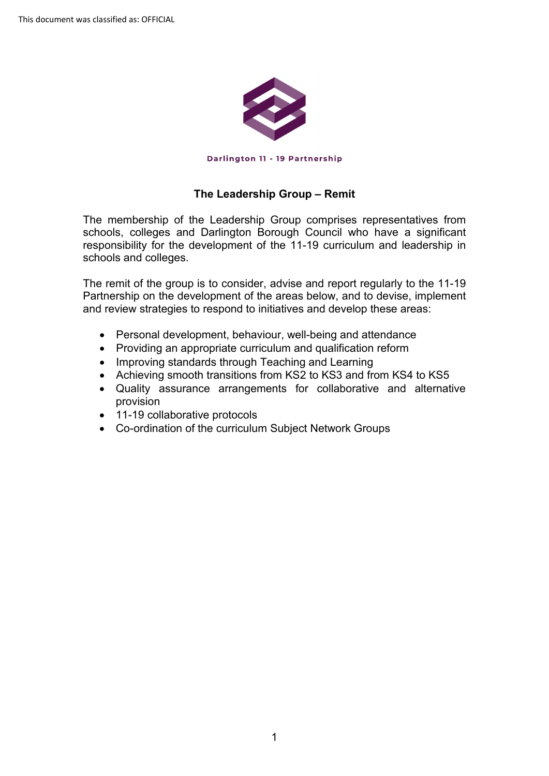

## **The Leadership Group – Remit**

 The membership of the Leadership Group comprises representatives from schools, colleges and Darlington Borough Council who have a significant responsibility for the development of the 11-19 curriculum and leadership in schools and colleges.

 Partnership on the development of the areas below, and to devise, implement The remit of the group is to consider, advise and report regularly to the 11-19 and review strategies to respond to initiatives and develop these areas:

- Personal development, behaviour, well-being and attendance
- Providing an appropriate curriculum and qualification reform
- Improving standards through Teaching and Learning
- Achieving smooth transitions from KS2 to KS3 and from KS4 to KS5
- Quality assurance arrangements for collaborative and alternative provision
- 11-19 collaborative protocols
- Co-ordination of the curriculum Subject Network Groups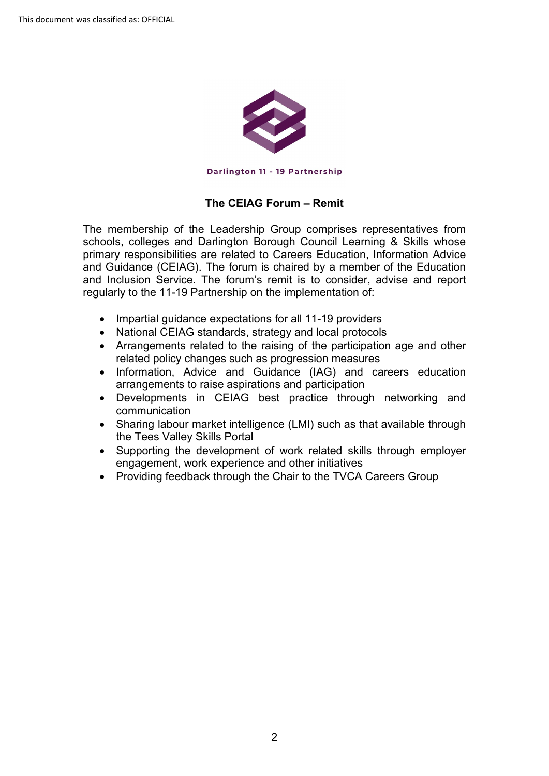

## **The CEIAG Forum – Remit**

 The membership of the Leadership Group comprises representatives from schools, colleges and Darlington Borough Council Learning & Skills whose and Guidance (CEIAG). The forum is chaired by a member of the Education primary responsibilities are related to Careers Education, Information Advice and Inclusion Service. The forum's remit is to consider, advise and report regularly to the 11-19 Partnership on the implementation of:

- Impartial guidance expectations for all 11-19 providers
- National CEIAG standards, strategy and local protocols
- Arrangements related to the raising of the participation age and other related policy changes such as progression measures
- Information, Advice and Guidance (IAG) and careers education arrangements to raise aspirations and participation
- Developments in CEIAG best practice through networking and communication
- Sharing labour market intelligence (LMI) such as that available through the Tees Valley Skills Portal
- Supporting the development of work related skills through employer engagement, work experience and other initiatives
- Providing feedback through the Chair to the TVCA Careers Group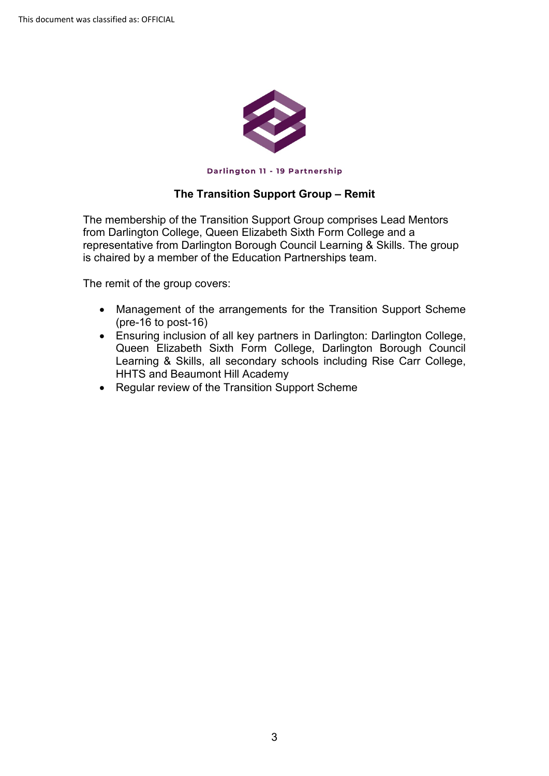

## **The Transition Support Group – Remit**

 is chaired by a member of the Education Partnerships team. The membership of the Transition Support Group comprises Lead Mentors from Darlington College, Queen Elizabeth Sixth Form College and a representative from Darlington Borough Council Learning & Skills. The group

The remit of the group covers:

- Management of the arrangements for the Transition Support Scheme (pre-16 to post-16)
- Ensuring inclusion of all key partners in Darlington: Darlington College, Queen Elizabeth Sixth Form College, Darlington Borough Council Learning & Skills, all secondary schools including Rise Carr College, HHTS and Beaumont Hill Academy
- Regular review of the Transition Support Scheme